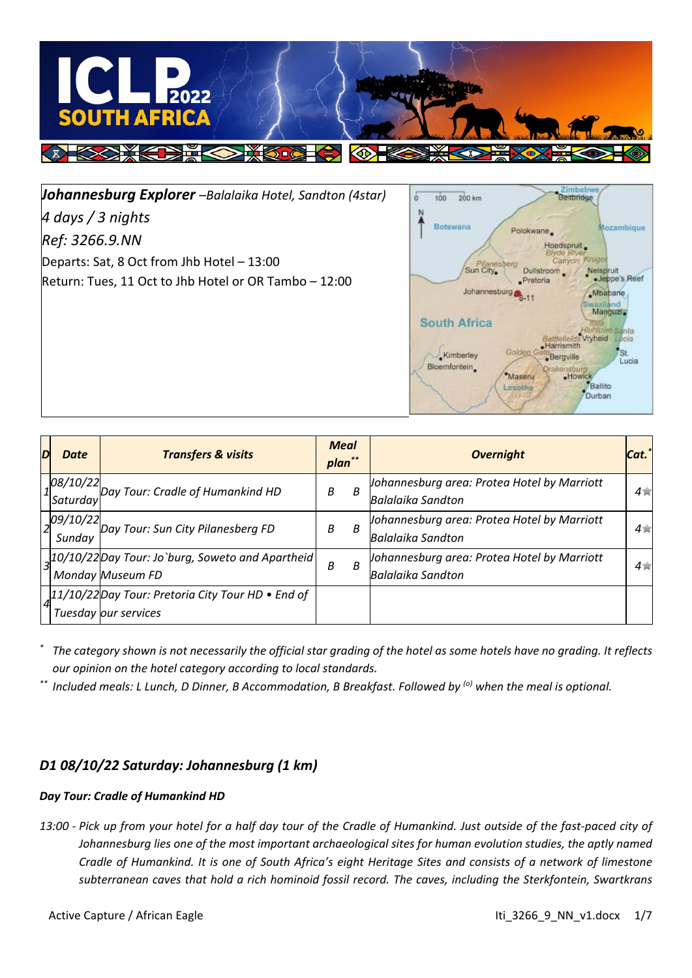

*Johannesburg Explorer –Balalaika Hotel, Sandton (4star) 4 days / 3 nights Ref: 3266.9.NN* Departs: Sat, 8 Oct from Jhb Hotel – 13:00 Return: Tues, 11 Oct to Jhb Hotel or OR Tambo – 12:00



| D | Date     | <b>Transfers &amp; visits</b>                                                  | <b>Meal</b><br>plan** |   | <b>Overnight</b>                            | Cat.   |
|---|----------|--------------------------------------------------------------------------------|-----------------------|---|---------------------------------------------|--------|
|   | 08/10/22 | $\frac{1}{2}$ Saturday <b>Day Tour: Cradle of Humankind HD</b>                 | Β                     | B | Vohannesburg area: Protea Hotel by Marriott | $4\pi$ |
|   |          |                                                                                |                       |   | <b>Balalaika Sandton</b>                    |        |
|   | 09/10/22 | Day Tour: Sun City Pilanesberg FD                                              | B                     | B | Vohannesburg area: Protea Hotel by Marriott | $4\pi$ |
|   | Sunday   |                                                                                |                       |   | <b>Balalaika Sandton</b>                    |        |
| 3 |          | $\lfloor$ 10/10/22 $\lfloor$ Day Tour: Jo`burg, Soweto and Apartheid $\lfloor$ | Β                     | B | Vohannesburg area: Protea Hotel by Marriott | $4\pi$ |
|   |          | Monday Museum FD                                                               |                       |   | <b>Balalaika Sandton</b>                    |        |
|   |          | 11/10/22 Day Tour: Pretoria City Tour HD • End of                              |                       |   |                                             |        |
|   |          | Tuesday our services                                                           |                       |   |                                             |        |

*\* The category shown is not necessarily the official star grading of the hotel as some hotels have no grading. It reflects our opinion on the hotel category according to local standards.*

*\*\* Included meals: L Lunch, D Dinner, B Accommodation, B Breakfast. Followed by (o) when the meal is optional.*

# *D1 08/10/22 Saturday: Johannesburg (1 km)*

#### *Day Tour: Cradle of Humankind HD*

*13:00 - Pick up from your hotel for a half day tour of the Cradle of Humankind. Just outside of the fast-paced city of Johannesburg lies one of the most important archaeological sites for human evolution studies, the aptly named Cradle of Humankind. It is one of South Africa's eight Heritage Sites and consists of a network of limestone subterranean caves that hold a rich hominoid fossil record. The caves, including the Sterkfontein, Swartkrans*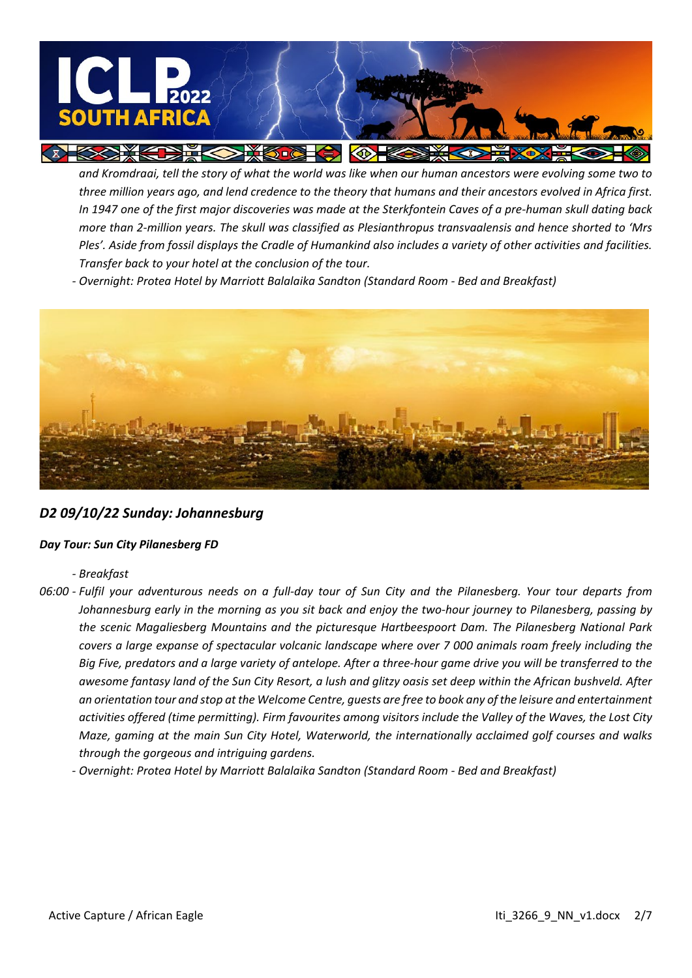

*and Kromdraai, tell the story of what the world was like when our human ancestors were evolving some two to three million years ago, and lend credence to the theory that humans and their ancestors evolved in Africa first. In 1947 one of the first major discoveries was made at the Sterkfontein Caves of a pre-human skull dating back more than 2-million years. The skull was classified as Plesianthropus transvaalensis and hence shorted to 'Mrs Ples'. Aside from fossil displays the Cradle of Humankind also includes a variety of other activities and facilities. Transfer back to your hotel at the conclusion of the tour.*

*- Overnight: Protea Hotel by Marriott Balalaika Sandton (Standard Room - Bed and Breakfast)*



#### *D2 09/10/22 Sunday: Johannesburg*

#### *Day Tour: Sun City Pilanesberg FD*

- *- Breakfast*
- *06:00 - Fulfil your adventurous needs on a full-day tour of Sun City and the Pilanesberg. Your tour departs from Johannesburg early in the morning as you sit back and enjoy the two-hour journey to Pilanesberg, passing by the scenic Magaliesberg Mountains and the picturesque Hartbeespoort Dam. The Pilanesberg National Park covers a large expanse of spectacular volcanic landscape where over 7 000 animals roam freely including the Big Five, predators and a large variety of antelope. After a three-hour game drive you will be transferred to the awesome fantasy land of the Sun City Resort, a lush and glitzy oasis set deep within the African bushveld. After an orientation tour and stop at the Welcome Centre, guests are free to book any of the leisure and entertainment activities offered (time permitting). Firm favourites among visitors include the Valley of the Waves, the Lost City Maze, gaming at the main Sun City Hotel, Waterworld, the internationally acclaimed golf courses and walks through the gorgeous and intriguing gardens.* 
	- *- Overnight: Protea Hotel by Marriott Balalaika Sandton (Standard Room - Bed and Breakfast)*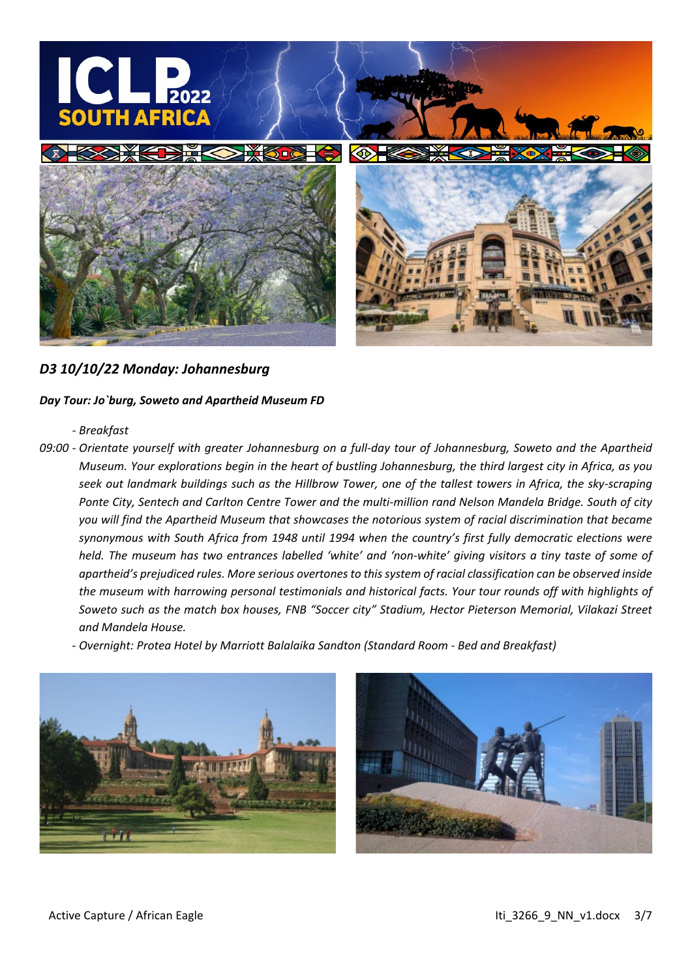

#### *D3 10/10/22 Monday: Johannesburg*

#### *Day Tour: Jo`burg, Soweto and Apartheid Museum FD*

*- Breakfast*

- *09:00 - Orientate yourself with greater Johannesburg on a full-day tour of Johannesburg, Soweto and the Apartheid Museum. Your explorations begin in the heart of bustling Johannesburg, the third largest city in Africa, as you seek out landmark buildings such as the Hillbrow Tower, one of the tallest towers in Africa, the sky-scraping Ponte City, Sentech and Carlton Centre Tower and the multi-million rand Nelson Mandela Bridge. South of city you will find the Apartheid Museum that showcases the notorious system of racial discrimination that became synonymous with South Africa from 1948 until 1994 when the country's first fully democratic elections were*  held. The museum has two entrances labelled 'white' and 'non-white' giving visitors a tiny taste of some of *apartheid's prejudiced rules. More serious overtones to this system of racial classification can be observed inside the museum with harrowing personal testimonials and historical facts. Your tour rounds off with highlights of Soweto such as the match box houses, FNB "Soccer city" Stadium, Hector Pieterson Memorial, Vilakazi Street and Mandela House.* 
	- *- Overnight: Protea Hotel by Marriott Balalaika Sandton (Standard Room - Bed and Breakfast)*



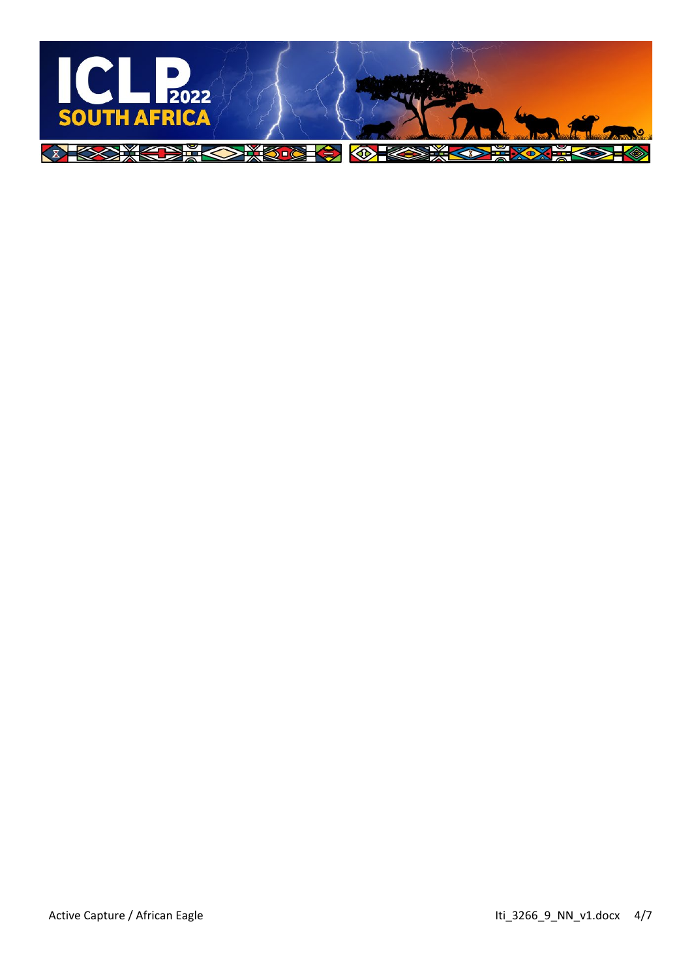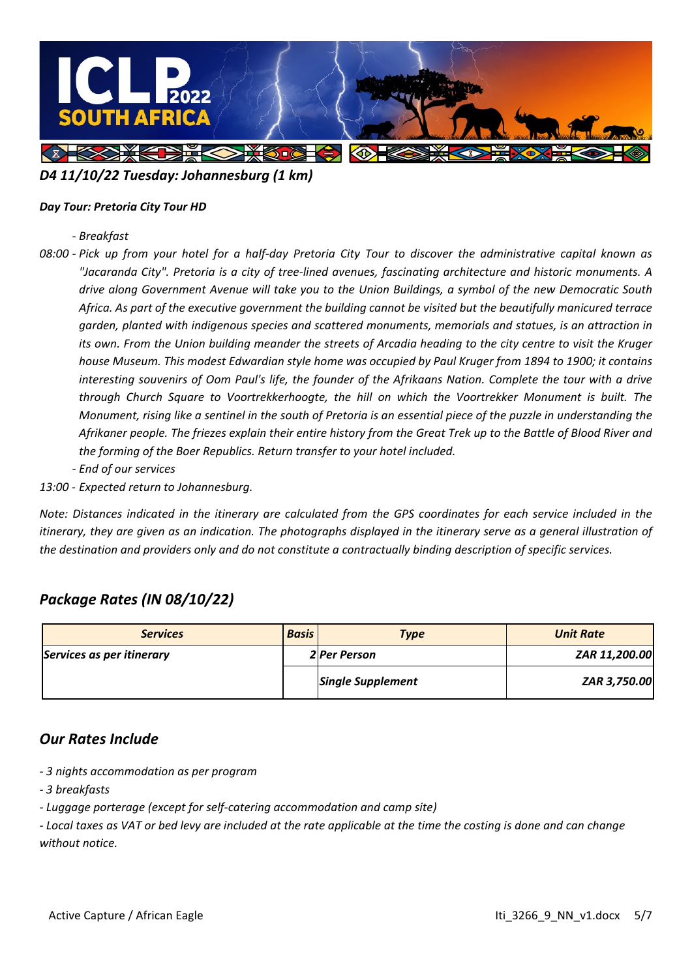

*D4 11/10/22 Tuesday: Johannesburg (1 km)*

#### *Day Tour: Pretoria City Tour HD*

*- Breakfast*

- *08:00 - Pick up from your hotel for a half-day Pretoria City Tour to discover the administrative capital known as "Jacaranda City". Pretoria is a city of tree-lined avenues, fascinating architecture and historic monuments. A drive along Government Avenue will take you to the Union Buildings, a symbol of the new Democratic South Africa. As part of the executive government the building cannot be visited but the beautifully manicured terrace garden, planted with indigenous species and scattered monuments, memorials and statues, is an attraction in its own. From the Union building meander the streets of Arcadia heading to the city centre to visit the Kruger house Museum. This modest Edwardian style home was occupied by Paul Kruger from 1894 to 1900; it contains interesting souvenirs of Oom Paul's life, the founder of the Afrikaans Nation. Complete the tour with a drive through Church Square to Voortrekkerhoogte, the hill on which the Voortrekker Monument is built. The Monument, rising like a sentinel in the south of Pretoria is an essential piece of the puzzle in understanding the Afrikaner people. The friezes explain their entire history from the Great Trek up to the Battle of Blood River and the forming of the Boer Republics. Return transfer to your hotel included. - End of our services*
- *13:00 - Expected return to Johannesburg.*

*Note: Distances indicated in the itinerary are calculated from the GPS coordinates for each service included in the itinerary, they are given as an indication. The photographs displayed in the itinerary serve as a general illustration of the destination and providers only and do not constitute a contractually binding description of specific services.*

# *Package Rates (IN 08/10/22)*

| <b>Services</b>           | <b>Basis</b> | <b>Type</b>              | <b>Unit Rate</b> |
|---------------------------|--------------|--------------------------|------------------|
| Services as per itinerary |              | <b>2</b> Per Person      | ZAR 11,200.00    |
|                           |              | <b>Single Supplement</b> | ZAR 3,750.00     |

# *Our Rates Include*

- *- 3 nights accommodation as per program*
- *- 3 breakfasts*
- *- Luggage porterage (except for self-catering accommodation and camp site)*

*- Local taxes as VAT or bed levy are included at the rate applicable at the time the costing is done and can change without notice.*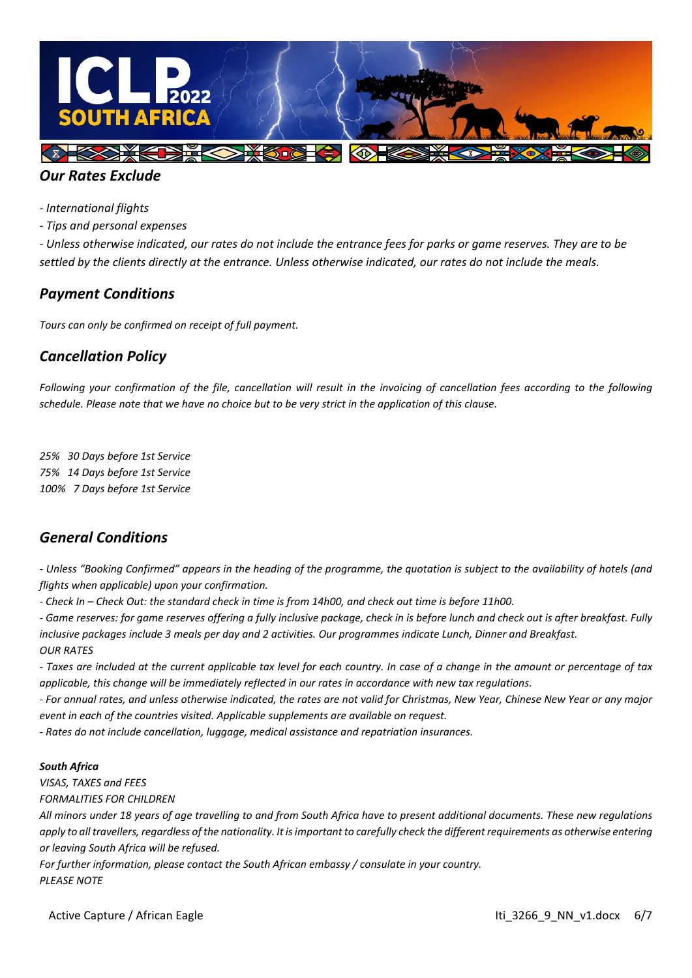

# *Our Rates Exclude*

*- International flights*

*- Tips and personal expenses*

*- Unless otherwise indicated, our rates do not include the entrance fees for parks or game reserves. They are to be settled by the clients directly at the entrance. Unless otherwise indicated, our rates do not include the meals.*

# *Payment Conditions*

*Tours can only be confirmed on receipt of full payment.*

# *Cancellation Policy*

Following your confirmation of the file, cancellation will result in the invoicing of cancellation fees according to the following *schedule. Please note that we have no choice but to be very strict in the application of this clause.*

*25% 30 Days before 1st Service 75% 14 Days before 1st Service 100% 7 Days before 1st Service* 

# *General Conditions*

*- Unless "Booking Confirmed" appears in the heading of the programme, the quotation is subject to the availability of hotels (and flights when applicable) upon your confirmation.*

*- Check In – Check Out: the standard check in time is from 14h00, and check out time is before 11h00.* 

*- Game reserves: for game reserves offering a fully inclusive package, check in is before lunch and check out is after breakfast. Fully inclusive packages include 3 meals per day and 2 activities. Our programmes indicate Lunch, Dinner and Breakfast. OUR RATES*

*- Taxes are included at the current applicable tax level for each country. In case of a change in the amount or percentage of tax applicable, this change will be immediately reflected in our rates in accordance with new tax regulations.*

*- For annual rates, and unless otherwise indicated, the rates are not valid for Christmas, New Year, Chinese New Year or any major event in each of the countries visited. Applicable supplements are available on request.*

*- Rates do not include cancellation, luggage, medical assistance and repatriation insurances.*

#### *South Africa*

*VISAS, TAXES and FEES*

*FORMALITIES FOR CHILDREN*

*All minors under 18 years of age travelling to and from South Africa have to present additional documents. These new regulations apply to all travellers, regardless of the nationality. It is important to carefully check the different requirements as otherwise entering or leaving South Africa will be refused.*

*For further information, please contact the South African embassy / consulate in your country. PLEASE NOTE*